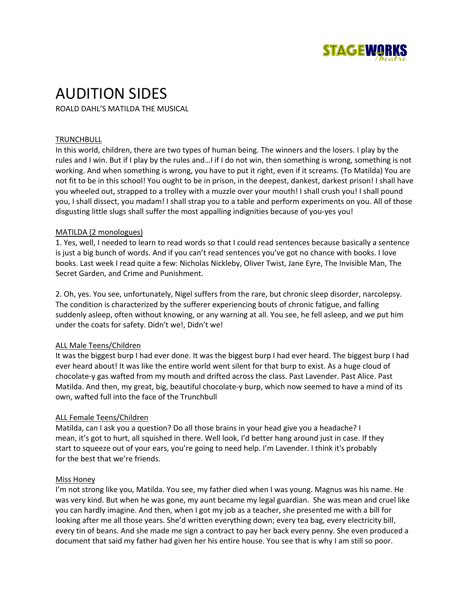

# AUDITION SIDES

ROALD DAHL'S MATILDA THE MUSICAL

# **TRUNCHBULL**

In this world, children, there are two types of human being. The winners and the losers. I play by the rules and I win. But if I play by the rules and…I if I do not win, then something is wrong, something is not working. And when something is wrong, you have to put it right, even if it screams. (To Matilda) You are not fit to be in this school! You ought to be in prison, in the deepest, dankest, darkest prison! I shall have you wheeled out, strapped to a trolley with a muzzle over your mouth! I shall crush you! I shall pound you, I shall dissect, you madam! I shall strap you to a table and perform experiments on you. All of those disgusting little slugs shall suffer the most appalling indignities because of you-yes you!

#### MATILDA (2 monologues)

1. Yes, well, I needed to learn to read words so that I could read sentences because basically a sentence is just a big bunch of words. And if you can't read sentences you've got no chance with books. I love books. Last week I read quite a few: Nicholas Nickleby, Oliver Twist, Jane Eyre, The Invisible Man, The Secret Garden, and Crime and Punishment.

2. Oh, yes. You see, unfortunately, Nigel suffers from the rare, but chronic sleep disorder, narcolepsy. The condition is characterized by the sufferer experiencing bouts of chronic fatigue, and falling suddenly asleep, often without knowing, or any warning at all. You see, he fell asleep, and we put him under the coats for safety. Didn't we!, Didn't we!

# ALL Male Teens/Children

It was the biggest burp I had ever done. It was the biggest burp I had ever heard. The biggest burp I had ever heard about! It was like the entire world went silent for that burp to exist. As a huge cloud of chocolate-y gas wafted from my mouth and drifted across the class. Past Lavender. Past Alice. Past Matilda. And then, my great, big, beautiful chocolate-y burp, which now seemed to have a mind of its own, wafted full into the face of the Trunchbull

# ALL Female Teens/Children

Matilda, can I ask you a question? Do all those brains in your head give you a headache? I mean, it's got to hurt, all squished in there. Well look, I'd better hang around just in case. If they start to squeeze out of your ears, you're going to need help. I'm Lavender. I think it's probably for the best that we're friends.

#### Miss Honey

I'm not strong like you, Matilda. You see, my father died when I was young. Magnus was his name. He was very kind. But when he was gone, my aunt became my legal guardian. She was mean and cruel like you can hardly imagine. And then, when I got my job as a teacher, she presented me with a bill for looking after me all those years. She'd written everything down; every tea bag, every electricity bill, every tin of beans. And she made me sign a contract to pay her back every penny. She even produced a document that said my father had given her his entire house. You see that is why I am still so poor.